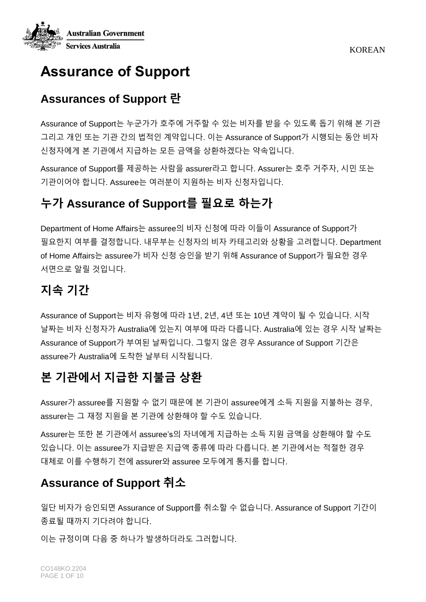

# **Assurance of Support**

## **Assurances of Support 란**

Assurance of Support는 누군가가 호주에 거주할 수 있는 비자를 받을 수 있도록 돕기 위해 본 기관 그리고 개인 또는 기관 간의 법적인 계약입니다. 이는 Assurance of Support가 시행되는 동안 비자 신청자에게 본 기관에서 지급하는 모든 금액을 상환하겠다는 약속입니다.

Assurance of Support를 제공하는 사람을 assurer라고 합니다. Assurer는 호주 거주자, 시민 또는 기관이어야 합니다. Assuree는 여러분이 지원하는 비자 신청자입니다.

# **누가 Assurance of Support를 필요로 하는가**

Department of Home Affairs는 assuree의 비자 신청에 따라 이들이 Assurance of Support가 필요한지 여부를 결정합니다. 내무부는 신청자의 비자 카테고리와 상황을 고려합니다. Department of Home Affairs는 assuree가 비자 신청 승인을 받기 위해 Assurance of Support가 필요한 경우 서면으로 알릴 것입니다.

# **지속 기간**

Assurance of Support는 비자 유형에 따라 1년, 2년, 4년 또는 10년 계약이 될 수 있습니다. 시작 날짜는 비자 신청자가 Australia에 있는지 여부에 따라 다릅니다. Australia에 있는 경우 시작 날짜는 Assurance of Support가 부여된 날짜입니다. 그렇지 않은 경우 Assurance of Support 기간은 assuree가 Australia에 도착한 날부터 시작됩니다.

# **본 기관에서 지급한 지불금 상환**

Assurer가 assuree를 지원할 수 없기 때문에 본 기관이 assuree에게 소득 지원을 지불하는 경우, assurer는 그 재정 지원을 본 기관에 상환해야 할 수도 있습니다.

Assurer는 또한 본 기관에서 assuree's의 자녀에게 지급하는 소득 지원 금액을 상환해야 할 수도 있습니다. 이는 assuree가 지급받은 지급액 종류에 따라 다릅니다. 본 기관에서는 적절한 경우 대체로 이를 수행하기 전에 assurer와 assuree 모두에게 통지를 합니다.

## **Assurance of Support 취소**

일단 비자가 승인되면 Assurance of Support를 취소할 수 없습니다. Assurance of Support 기간이 종료될 때까지 기다려야 합니다.

이는 규정이며 다음 중 하나가 발생하더라도 그러합니다.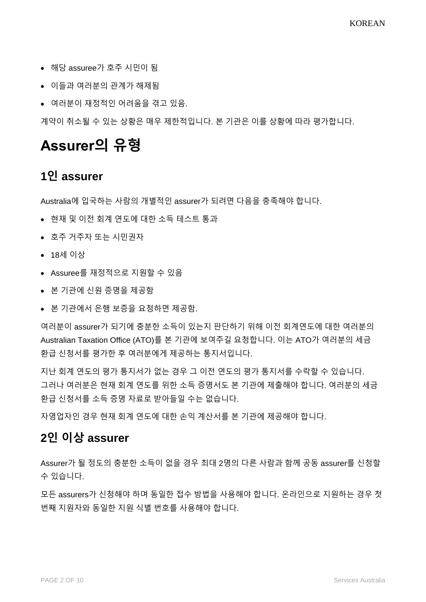- 해당 assuree가 호주 시민이 됨
- 이들과 여러분의 관계가 해제됨
- 여러분이 재정적인 어려움을 겪고 있음.

계약이 취소될 수 있는 상황은 매우 제한적입니다. 본 기관은 이를 상황에 따라 평가합니다.

# **Assurer의 유형**

#### **1인 assurer**

Australia에 입국하는 사람의 개별적인 assurer가 되려면 다음을 충족해야 합니다.

- 현재 및 이전 회계 연도에 대한 소득 테스트 통과
- 호주 거주자 또는 시민권자
- 18세 이상
- Assuree를 재정적으로 지원할 수 있음
- 본 기관에 신원 증명을 제공함
- 본 기관에서 은행 보증을 요청하면 제공함.

여러분이 assurer가 되기에 충분한 소득이 있는지 판단하기 위해 이전 회계연도에 대한 여러분의 Australian Taxation Office (ATO)를 본 기관에 보여주길 요청합니다. 이는 ATO가 여러분의 세금 환급 신청서를 평가한 후 여러분에게 제공하는 통지서입니다.

지난 회계 연도의 평가 통지서가 없는 경우 그 이전 연도의 평가 통지서를 수락할 수 있습니다. 그러나 여러분은 현재 회계 연도를 위한 소득 증명서도 본 기관에 제출해야 합니다. 여러분의 세금 환급 신청서를 소득 증명 자료로 받아들일 수는 없습니다.

자영업자인 경우 현재 회계 연도에 대한 손익 계산서를 본 기관에 제공해야 합니다.

### **2인 이상 assurer**

Assurer가 될 정도의 충분한 소득이 없을 경우 최대 2명의 다른 사람과 함께 공동 assurer를 신청할 수 있습니다.

모든 assurers가 신청해야 하며 동일한 접수 방법을 사용해야 합니다. 온라인으로 지원하는 경우 첫 번째 지원자와 동일한 지원 식별 번호를 사용해야 합니다.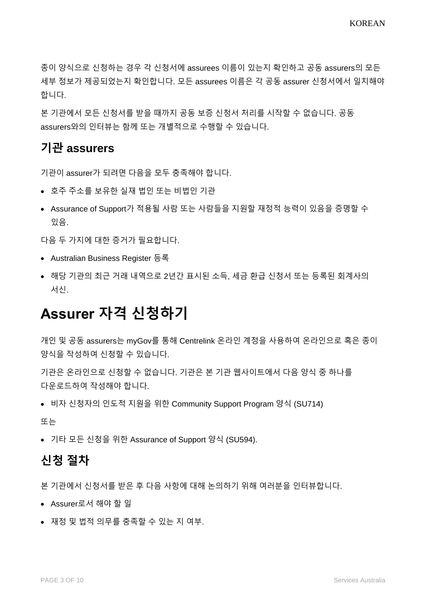종이 양식으로 신청하는 경우 각 신청서에 assurees 이름이 있는지 확인하고 공동 assurers의 모든 세부 정보가 제공되었는지 확인합니다. 모든 assurees 이름은 각 공동 assurer 신청서에서 일치해야 합니다.

본 기관에서 모든 신청서를 받을 때까지 공동 보증 신청서 처리를 시작할 수 없습니다. 공동 assurers와의 인터뷰는 함께 또는 개별적으로 수행할 수 있습니다.

#### **기관 assurers**

기관이 assurer가 되려면 다음을 모두 충족해야 합니다.

- 호주 주소를 보유한 실재 법인 또는 비법인 기관
- Assurance of Support가 적용될 사람 또는 사람들을 지원할 재정적 능력이 있음을 증명할 수 있음.

다음 두 가지에 대한 증거가 필요합니다.

- Australian Business Register 등록
- 해당 기관의 최근 거래 내역으로 2년간 표시된 소득, 세금 환급 신청서 또는 등록된 회계사의 서신.

# **Assurer 자격 신청하기**

개인 및 공동 assurers는 myGov를 통해 Centrelink 온라인 계정을 사용하여 온라인으로 혹은 종이 양식을 작성하여 신청할 수 있습니다.

기관은 온라인으로 신청할 수 없습니다. 기관은 본 기관 웹사이트에서 다음 양식 중 하나를 다운로드하여 작성해야 합니다.

• 비자 신청자의 인도적 지원을 위한 Community Support Program 양식 (SU714)

또는

• 기타 모든 신청을 위한 Assurance of Support 양식 (SU594).

#### **신청 절차**

본 기관에서 신청서를 받은 후 다음 사항에 대해 논의하기 위해 여러분을 인터뷰합니다.

- Assurer로서 해야 할 일
- 재정 및 법적 의무를 충족할 수 있는 지 여부.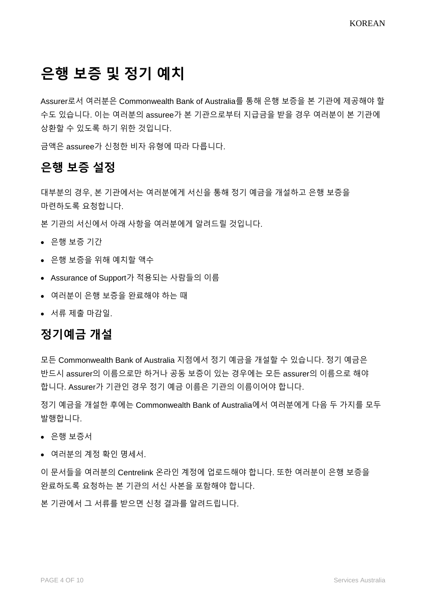# **은행 보증 및 정기 예치**

Assurer로서 여러분은 Commonwealth Bank of Australia를 통해 은행 [보증을](https://www.servicesaustralia.gov.au/bank-guarantee-for-assurance-support?context=22051) 본 기관에 제공해야 할 수도 있습니다. 이는 여러분의 assuree가 본 기관으로부터 지급금을 받을 경우 여러분이 본 기관에 상환할 수 있도록 하기 위한 것입니다.

금액은 assuree가 신청한 비자 유형에 따라 다릅니다.

### **은행 보증 설정**

대부분의 경우, 본 기관에서는 여러분에게 서신을 통해 정기 예금을 개설하고 은행 보증을 마련하도록 요청합니다.

본 기관의 서신에서 아래 사항을 여러분에게 알려드릴 것입니다.

- 은행 보증 기간
- 은행 보증을 위해 예치할 액수
- Assurance of Support가 적용되는 사람들의 이름
- 여러분이 은행 보증을 완료해야 하는 때
- 서류 제출 마감일.

### **정기예금 개설**

모든 Commonwealth Bank of Australia 지점에서 정기 예금을 개설할 수 있습니다. 정기 예금은 반드시 assurer의 이름으로만 하거나 공동 보증이 있는 경우에는 모든 assurer의 이름으로 해야 합니다. Assurer가 기관인 경우 정기 예금 이름은 기관의 이름이어야 합니다.

정기 예금을 개설한 후에는 Commonwealth Bank of Australia에서 여러분에게 다음 두 가지를 모두 발행합니다.

- 은행 보증서
- 여러분의 계정 확인 명세서.

이 문서들을 여러분의 Centrelink 온라인 계정에 업로드해야 합니다. 또한 여러분이 은행 보증을 완료하도록 요청하는 본 기관의 서신 사본을 포함해야 합니다.

본 기관에서 그 서류를 받으면 신청 결과를 알려드립니다.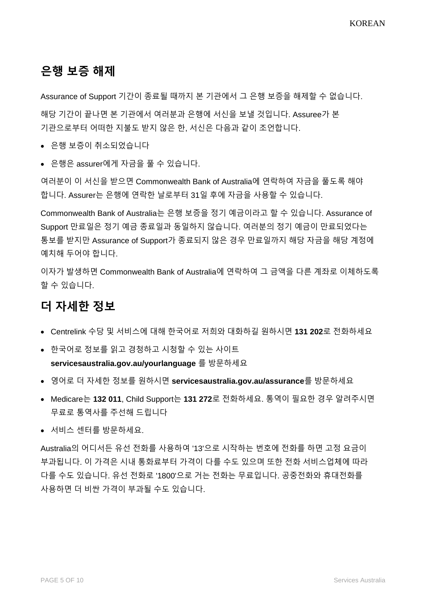## **은행 보증 해제**

Assurance of Support 기간이 종료될 때까지 본 기관에서 그 은행 보증을 해제할 수 없습니다.

해당 기간이 끝나면 본 기관에서 여러분과 은행에 서신을 보낼 것입니다. Assuree가 본 기관으로부터 어떠한 지불도 받지 않은 한, 서신은 다음과 같이 조언합니다.

- 은행 보증이 취소되었습니다
- 은행은 assurer에게 자금을 풀 수 있습니다.

여러분이 이 서신을 받으면 Commonwealth Bank of Australia에 연락하여 자금을 풀도록 해야 합니다. Assurer는 은행에 연락한 날로부터 31일 후에 자금을 사용할 수 있습니다.

Commonwealth Bank of Australia는 은행 보증을 정기 예금이라고 할 수 있습니다. Assurance of Support 만료일은 정기 예금 종료일과 동일하지 않습니다. 여러분의 정기 예금이 만료되었다는 통보를 받지만 Assurance of Support가 종료되지 않은 경우 만료일까지 해당 자금을 해당 계정에 예치해 두어야 합니다.

이자가 발생하면 Commonwealth Bank of Australia에 연락하여 그 금액을 다른 계좌로 이체하도록 할 수 있습니다.

## **더 자세한 정보**

- Centrelink 수당 및 서비스에 대해 한국어로 저희와 대화하길 원하시면 **131 202**로 전화하세요
- 한국어로 정보를 읽고 경청하고 시청할 수 있는 사이트 **[servicesaustralia.gov.au/yourlanguage](http://humanservices.gov.au/yourlanguage)** 를 방문하세요
- 영어로 더 자세한 정보를 원하시면 **servicesaustralia.gov.au/assurance**를 방문하세요
- Medicare는 **132 011**, Child Support는 **131 272**로 전화하세요. 통역이 필요한 경우 알려주시면 무료로 통역사를 주선해 드립니다
- 서비스 센터를 방문하세요.

Australia의 어디서든 유선 전화를 사용하여 '13'으로 시작하는 번호에 전화를 하면 고정 요금이 부과됩니다. 이 가격은 시내 통화료부터 가격이 다를 수도 있으며 또한 전화 서비스업체에 따라 다를 수도 있습니다. 유선 전화로 '1800'으로 거는 전화는 무료입니다. 공중전화와 휴대전화를 사용하면 더 비싼 가격이 부과될 수도 있습니다.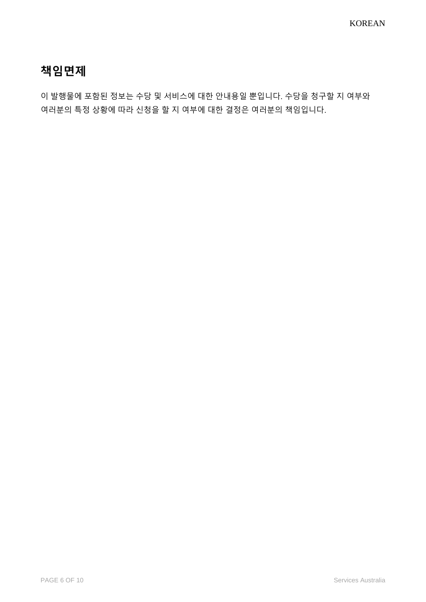## **책임면제**

이 발행물에 포함된 정보는 수당 및 서비스에 대한 안내용일 뿐입니다. 수당을 청구할 지 여부와 여러분의 특정 상황에 따라 신청을 할 지 여부에 대한 결정은 여러분의 책임입니다.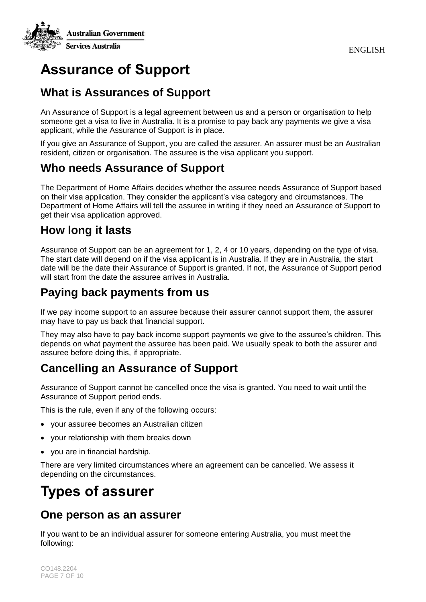

# **Assurance of Support**

### **What is Assurances of Support**

An Assurance of Support is a legal agreement between us and a person or organisation to help someone get a visa to live in Australia. It is a promise to pay back any payments we give a visa applicant, while the Assurance of Support is in place.

If you give an Assurance of Support, you are called the assurer. An assurer must be an Australian resident, citizen or organisation. The assuree is the visa applicant you support.

### **Who needs Assurance of Support**

The Department of Home Affairs decides whether the assuree needs Assurance of Support based on their visa application. They consider the applicant's visa category and circumstances. The Department of Home Affairs will tell the assuree in writing if they need an Assurance of Support to get their visa application approved.

### **How long it lasts**

Assurance of Support can be an agreement for 1, 2, 4 or 10 years, depending on the type of visa. The start date will depend on if the visa applicant is in Australia. If they are in Australia, the start date will be the date their Assurance of Support is granted. If not, the Assurance of Support period will start from the date the assuree arrives in Australia.

### **Paying back payments from us**

If we pay income support to an assuree because their assurer cannot support them, the assurer may have to pay us back that financial support.

They may also have to pay back income support payments we give to the assuree's children. This depends on what payment the assuree has been paid. We usually speak to both the assurer and assuree before doing this, if appropriate.

## **Cancelling an Assurance of Support**

Assurance of Support cannot be cancelled once the visa is granted. You need to wait until the Assurance of Support period ends.

This is the rule, even if any of the following occurs:

- your assuree becomes an Australian citizen
- your relationship with them breaks down
- you are in financial hardship.

There are very limited circumstances where an agreement can be cancelled. We assess it depending on the circumstances.

# **Types of assurer**

#### **One person as an assurer**

If you want to be an individual assurer for someone entering Australia, you must meet the following: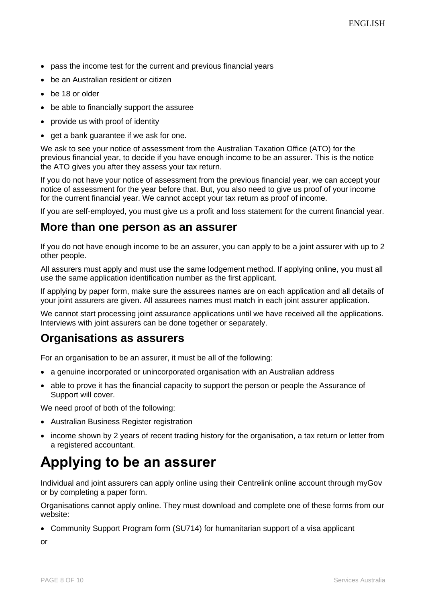- pass the income test for the current and previous financial years
- be an Australian resident or citizen
- be 18 or older
- be able to financially support the assuree
- provide us with proof of identity
- get a bank guarantee if we ask for one.

We ask to see your notice of assessment from the Australian Taxation Office (ATO) for the previous financial year, to decide if you have enough income to be an assurer. This is the notice the ATO gives you after they assess your tax return.

If you do not have your notice of assessment from the previous financial year, we can accept your notice of assessment for the year before that. But, you also need to give us proof of your income for the current financial year. We cannot accept your tax return as proof of income.

If you are self-employed, you must give us a profit and loss statement for the current financial year.

#### **More than one person as an assurer**

If you do not have enough income to be an assurer, you can apply to be a joint assurer with up to 2 other people.

All assurers must apply and must use the same lodgement method. If applying online, you must all use the same application identification number as the first applicant.

If applying by paper form, make sure the assurees names are on each application and all details of your joint assurers are given. All assurees names must match in each joint assurer application.

We cannot start processing joint assurance applications until we have received all the applications. Interviews with joint assurers can be done together or separately.

#### **Organisations as assurers**

For an organisation to be an assurer, it must be all of the following:

- a genuine incorporated or unincorporated organisation with an Australian address
- able to prove it has the financial capacity to support the person or people the Assurance of Support will cover.

We need proof of both of the following:

- Australian Business Register registration
- income shown by 2 years of recent trading history for the organisation, a tax return or letter from a registered accountant.

# **Applying to be an assurer**

Individual and joint assurers can apply online using their Centrelink online account through myGov or by completing a paper form.

Organisations cannot apply online. They must download and complete one of these forms from our website:

• Community Support Program form (SU714) for humanitarian support of a visa applicant

or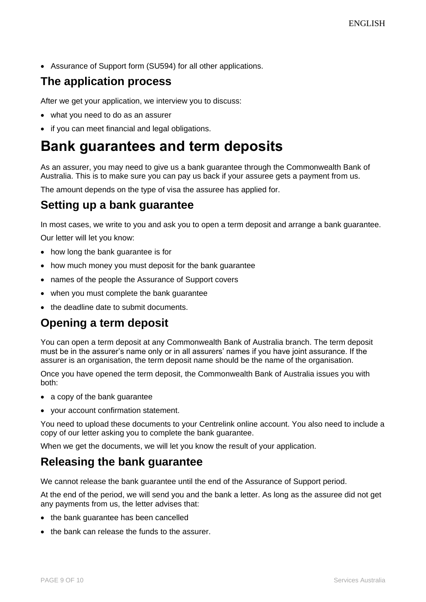• Assurance of Support form (SU594) for all other applications.

### **The application process**

After we get your application, we interview you to discuss:

- what you need to do as an assurer
- if you can meet financial and legal obligations.

# **Bank guarantees and term deposits**

As an assurer, you may need to give us a [bank guarantee](https://www.servicesaustralia.gov.au/bank-guarantee-for-assurance-support?context=22051) through the Commonwealth Bank of Australia. This is to make sure you can pay us back if your assuree gets a payment from us.

The amount depends on the type of visa the assuree has applied for.

#### **Setting up a bank guarantee**

In most cases, we write to you and ask you to open a term deposit and arrange a bank guarantee.

Our letter will let you know:

- how long the bank guarantee is for
- how much money you must deposit for the bank guarantee
- names of the people the Assurance of Support covers
- when you must complete the bank guarantee
- the deadline date to submit documents.

### **Opening a term deposit**

You can open a term deposit at any Commonwealth Bank of Australia branch. The term deposit must be in the assurer's name only or in all assurers' names if you have joint assurance. If the assurer is an organisation, the term deposit name should be the name of the organisation.

Once you have opened the term deposit, the Commonwealth Bank of Australia issues you with both:

- a copy of the bank guarantee
- your account confirmation statement.

You need to upload these documents to your Centrelink online account. You also need to include a copy of our letter asking you to complete the bank guarantee.

When we get the documents, we will let you know the result of your application.

#### **Releasing the bank guarantee**

We cannot release the bank guarantee until the end of the Assurance of Support period.

At the end of the period, we will send you and the bank a letter. As long as the assuree did not get any payments from us, the letter advises that:

- the bank guarantee has been cancelled
- the bank can release the funds to the assurer.